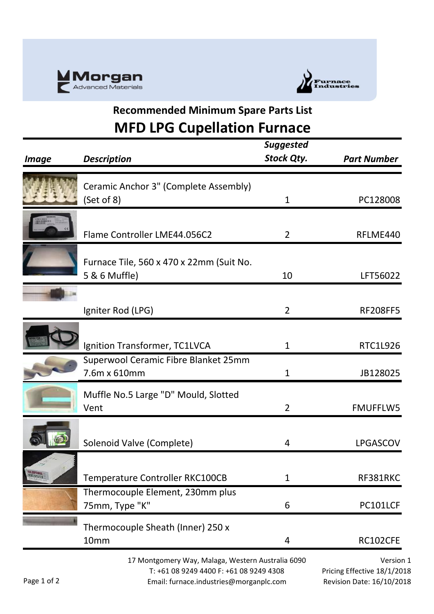



## **Recommended Minimum Spare Parts List MFD LPG Cupellation Furnace**

| <i><b>Image</b></i>                                                                          | <b>Description</b>                                        | <b>Suggested</b><br><b>Stock Qty.</b> | <b>Part Number</b> |
|----------------------------------------------------------------------------------------------|-----------------------------------------------------------|---------------------------------------|--------------------|
|                                                                                              | Ceramic Anchor 3" (Complete Assembly)<br>(Set of 8)       | 1                                     | PC128008           |
|                                                                                              | Flame Controller LME44.056C2                              | $\overline{2}$                        | RFLME440           |
|                                                                                              | Furnace Tile, 560 x 470 x 22mm (Suit No.<br>5 & 6 Muffle) | 10                                    | LFT56022           |
|                                                                                              | Igniter Rod (LPG)                                         | $\overline{2}$                        | <b>RF208FF5</b>    |
|                                                                                              | Ignition Transformer, TC1LVCA                             | $\mathbf{1}$                          | RTC1L926           |
|                                                                                              | Superwool Ceramic Fibre Blanket 25mm<br>7.6m x 610mm      | 1                                     | JB128025           |
|                                                                                              | Muffle No.5 Large "D" Mould, Slotted<br>Vent              | $\overline{2}$                        | <b>FMUFFLW5</b>    |
|                                                                                              | Solenoid Valve (Complete)                                 | 4                                     | <b>LPGASCOV</b>    |
| <b>Marshall</b><br>Tanakata 2                                                                | Temperature Controller RKC100CB                           | 1                                     | RF381RKC           |
|                                                                                              | Thermocouple Element, 230mm plus<br>75mm, Type "K"        | 6                                     | PC101LCF           |
|                                                                                              | Thermocouple Sheath (Inner) 250 x<br>10mm                 | 4                                     | RC102CFE           |
| 17 Montgomery Way, Malaga, Western Australia 6090<br>T: +61 08 9249 4400 F: +61 08 9249 4308 |                                                           | Version<br>Pricing Effective 18/1/20  |                    |

Page 1 of 2

Email: furnace.industries@morganplc.com

 $n<sub>1</sub>$ Pricing Effective 18/1/2018 Revision Date: 16/10/2018